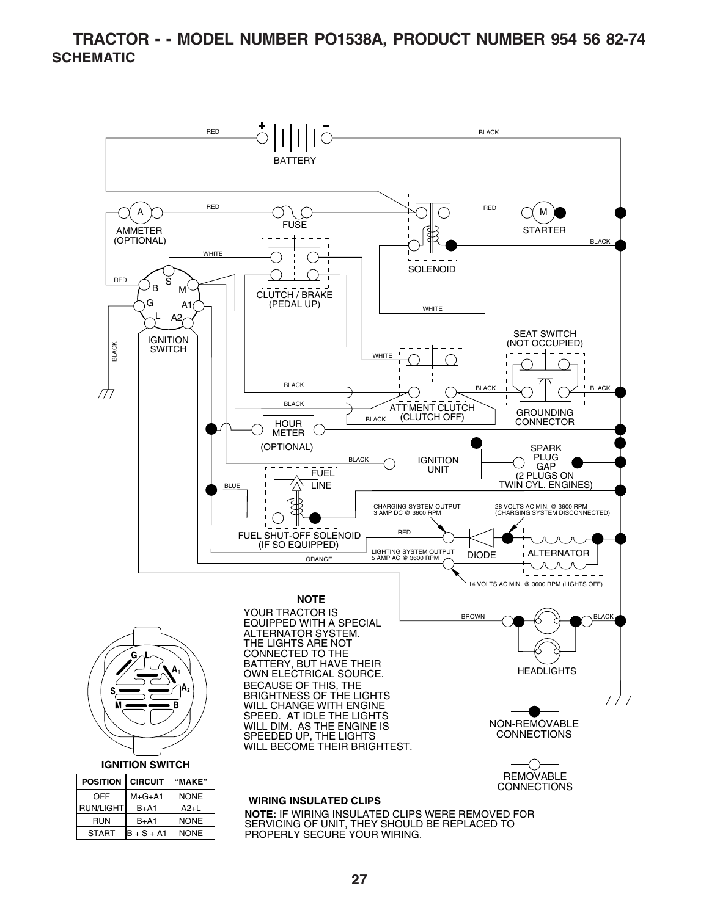#### **TRACTOR - - MODEL NUMBER PO1538A, PRODUCT NUMBER 954 56 82-74 SCHEMATIC**

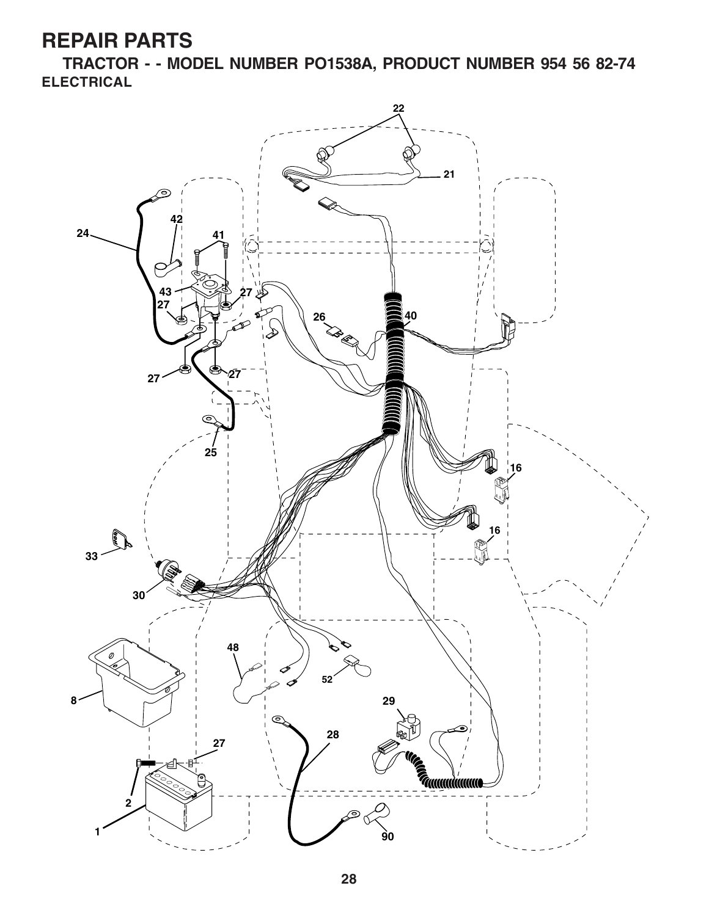**TRACTOR - - MODEL NUMBER PO1538A, PRODUCT NUMBER 954 56 82-74 ELECTRICAL**

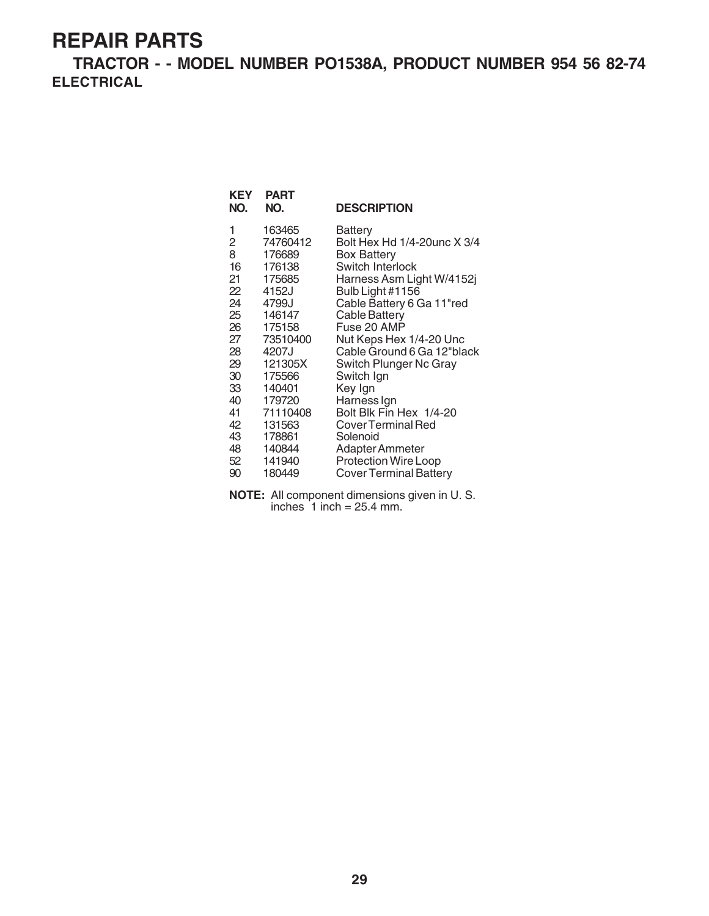**TRACTOR - - MODEL NUMBER PO1538A, PRODUCT NUMBER 954 56 82-74 ELECTRICAL**

| <b>KEY</b><br>NO. | <b>PART</b><br>NO. | <b>DESCRIPTION</b>            |
|-------------------|--------------------|-------------------------------|
|                   |                    |                               |
| 1                 | 163465             | Battery                       |
| 2                 | 74760412           | Bolt Hex Hd 1/4-20unc X 3/4   |
| 8                 | 176689             | Box Battery                   |
| 16                | 176138             | Switch Interlock              |
| 21                | 175685             | Harness Asm Light W/4152j     |
| 22                | 4152J              | Bulb Light #1156              |
| 24                | 4799J              | Cable Battery 6 Ga 11"red     |
| 25                | 146147             | <b>Cable Battery</b>          |
| 26                | 175158             | Fuse 20 AMP                   |
| 27                | 73510400           | Nut Keps Hex 1/4-20 Unc       |
| 28                | 4207J              | Cable Ground 6 Ga 12"black    |
| 29                | 121305X            | Switch Plunger Nc Gray        |
| 30                | 175566             | Switch Ign                    |
| 33                | 140401             | Key Ign                       |
| 40                | 179720             | Harness Ign                   |
| 41                | 71110408           | Bolt Blk Fin Hex 1/4-20       |
| 42                | 131563             | <b>Cover Terminal Red</b>     |
| 43                | 178861             | Solenoid                      |
| 48                | 140844             | Adapter Ammeter               |
| 52                | 141940             | <b>Protection Wire Loop</b>   |
| 90                | 180449             | <b>Cover Terminal Battery</b> |

**NOTE:** All component dimensions given in U. S. inches  $1$  inch = 25.4 mm.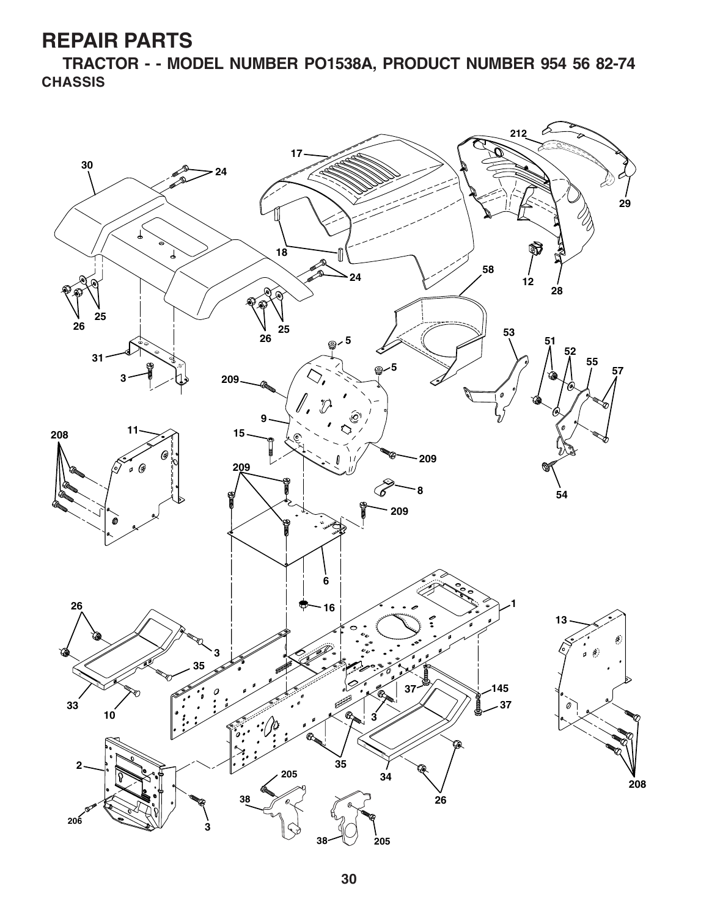**TRACTOR - - MODEL NUMBER PO1538A, PRODUCT NUMBER 954 56 82-74 CHASSIS**

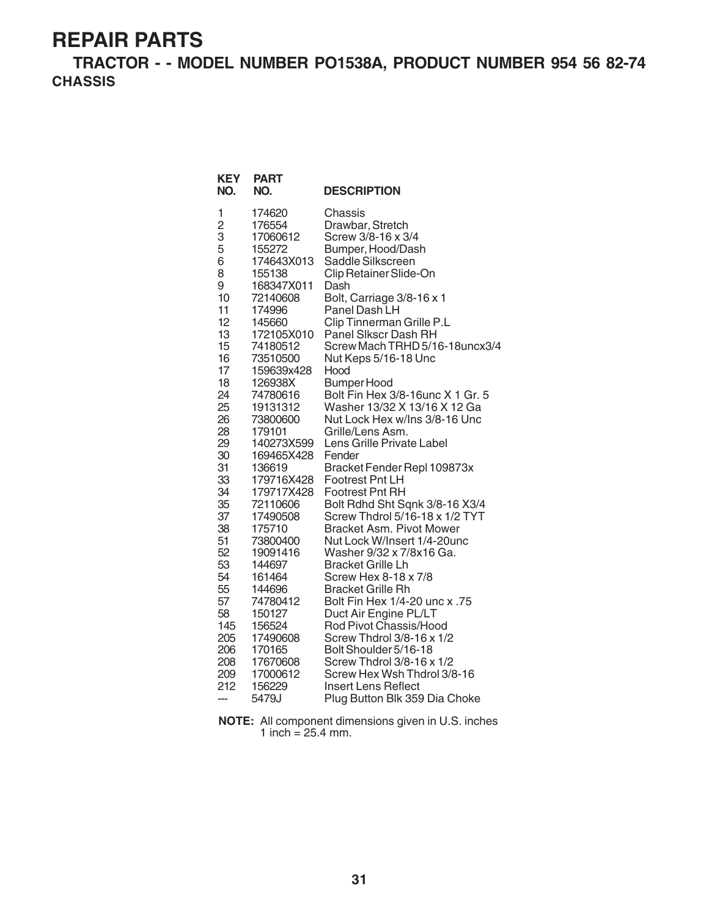**TRACTOR - - MODEL NUMBER PO1538A, PRODUCT NUMBER 954 56 82-74 CHASSIS**

| 1<br>174620<br>Chassis<br>$\overline{c}$<br>Drawbar, Stretch<br>176554<br>3<br>Screw 3/8-16 x 3/4<br>17060612<br>5<br>155272<br>Bumper, Hood/Dash<br>6<br>174643X013<br>Saddle Silkscreen<br>8<br>155138<br>Clip Retainer Slide-On<br>9<br>168347X011<br>Dash<br>10<br>Bolt, Carriage 3/8-16 x 1<br>72140608<br>11<br>Panel Dash LH<br>174996<br>12<br>145660<br>Clip Tinnerman Grille P.L<br>Panel Slkscr Dash RH<br>13<br>172105X010<br>15<br>74180512<br>16<br>73510500<br>Nut Keps 5/16-18 Unc<br>17<br>159639x428<br>Hood<br>18<br>Bumper Hood<br>126938X<br>24<br>74780616<br>25<br>Washer 13/32 X 13/16 X 12 Ga<br>19131312<br>26<br>73800600<br>Nut Lock Hex w/Ins 3/8-16 Unc<br>28<br>179101<br>Grille/Lens Asm.<br>29<br>Lens Grille Private Label<br>140273X599<br>30<br>169465X428<br>Fender<br>31<br>136619<br>Bracket Fender Repl 109873x<br>33<br><b>Footrest Pnt LH</b><br>179716X428<br>34<br>179717X428<br><b>Footrest Pnt RH</b><br>35<br>72110606<br>37<br>17490508<br>38<br><b>Bracket Asm. Pivot Mower</b><br>175710<br>51<br>Nut Lock W/Insert 1/4-20unc<br>73800400<br>52<br>19091416<br>Washer 9/32 x 7/8x16 Ga.<br>53<br><b>Bracket Grille Lh</b><br>144697<br>54<br>Screw Hex 8-18 x 7/8<br>161464<br>55<br><b>Bracket Grille Rh</b><br>144696<br>57<br>15. Bolt Fin Hex 1/4-20 unc x<br>74780412<br>58<br>Duct Air Engine PL/LT<br>150127 | <b>KEY</b><br>NO. | <b>PART</b><br>NO. | <b>DESCRIPTION</b>                                                                                                                                               |
|-----------------------------------------------------------------------------------------------------------------------------------------------------------------------------------------------------------------------------------------------------------------------------------------------------------------------------------------------------------------------------------------------------------------------------------------------------------------------------------------------------------------------------------------------------------------------------------------------------------------------------------------------------------------------------------------------------------------------------------------------------------------------------------------------------------------------------------------------------------------------------------------------------------------------------------------------------------------------------------------------------------------------------------------------------------------------------------------------------------------------------------------------------------------------------------------------------------------------------------------------------------------------------------------------------------------------------------------------------------------------|-------------------|--------------------|------------------------------------------------------------------------------------------------------------------------------------------------------------------|
| Screw Thdrol 3/8-16 x 1/2<br>205<br>17490608<br>Bolt Shoulder 5/16-18<br>206<br>170165<br>208<br>17670608<br>Screw Thdrol 3/8-16 x 1/2                                                                                                                                                                                                                                                                                                                                                                                                                                                                                                                                                                                                                                                                                                                                                                                                                                                                                                                                                                                                                                                                                                                                                                                                                                | 145               | 156524             | Screw Mach TRHD 5/16-18uncx3/4<br>Bolt Fin Hex 3/8-16unc X 1 Gr. 5<br>Bolt Rdhd Sht Sqnk 3/8-16 X3/4<br>Screw Thdrol 5/16-18 x 1/2 TYT<br>Rod Pivot Chassis/Hood |
| 209<br>17000612<br>Screw Hex Wsh Thdrol 3/8-16<br>212<br>156229<br>Insert Lens Reflect<br>5479J<br>Plug Button Blk 359 Dia Choke<br>---                                                                                                                                                                                                                                                                                                                                                                                                                                                                                                                                                                                                                                                                                                                                                                                                                                                                                                                                                                                                                                                                                                                                                                                                                               |                   |                    |                                                                                                                                                                  |

**NOTE:** All component dimensions given in U.S. inches 1 inch =  $25.4$  mm.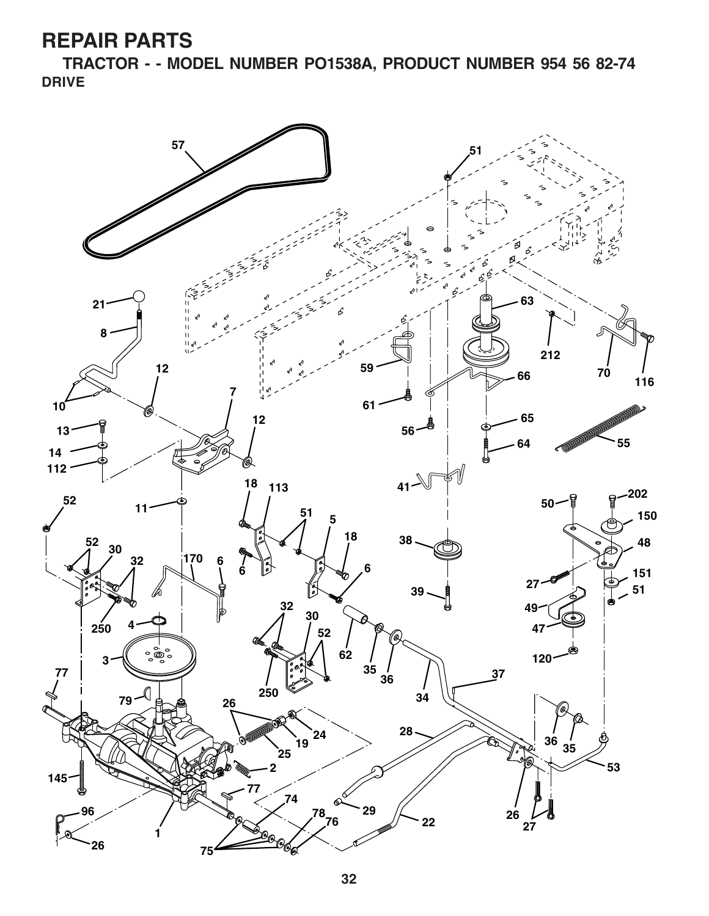**TRACTOR - - MODEL NUMBER PO1538A, PRODUCT NUMBER 954 56 82-74 DRIVE**

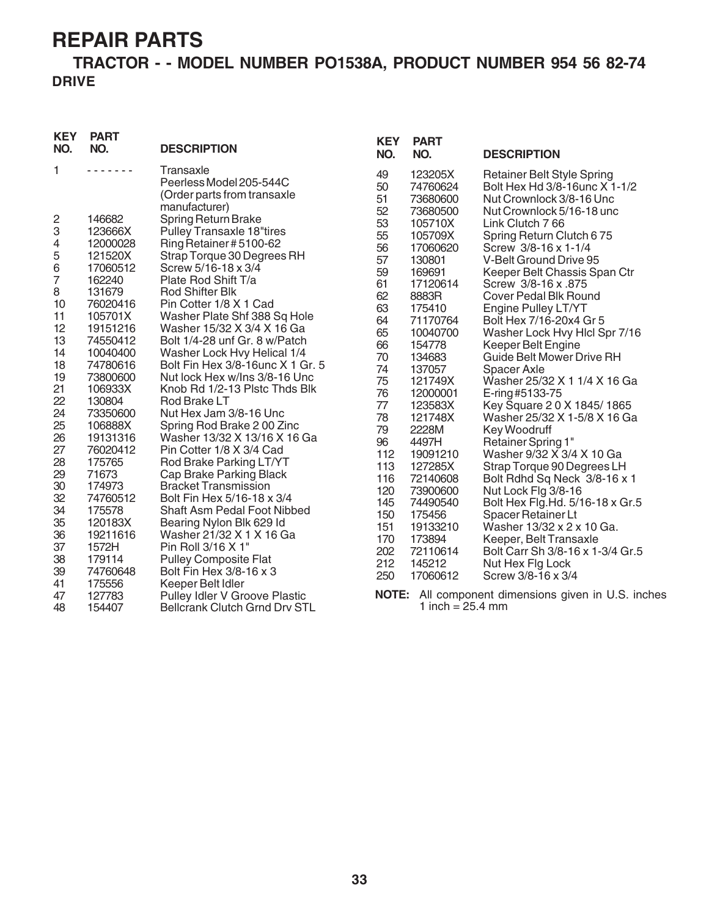#### **TRACTOR - - MODEL NUMBER PO1538A, PRODUCT NUMBER 954 56 82-74 DRIVE**

| <b>KEY</b><br>NO. | <b>PART</b><br>NO.                                                                                                                                                                                         | <b>DESCRIPTION</b>                                                                   | <b>KEY</b><br>NO. | <b>PART</b><br>NO.              | <b>DESCRIPTION</b>                                                                             |
|-------------------|------------------------------------------------------------------------------------------------------------------------------------------------------------------------------------------------------------|--------------------------------------------------------------------------------------|-------------------|---------------------------------|------------------------------------------------------------------------------------------------|
| 1                 | $\frac{1}{2} \left( \frac{1}{2} \right) \left( \frac{1}{2} \right) \left( \frac{1}{2} \right) \left( \frac{1}{2} \right) \left( \frac{1}{2} \right) \left( \frac{1}{2} \right) \left( \frac{1}{2} \right)$ | Transaxle<br>Peerless Model 205-544C<br>(Order parts from transaxle<br>manufacturer) | 49<br>50<br>51    | 123205X<br>74760624<br>73680600 | <b>Retainer Belt Style Spring</b><br>Bolt Hex Hd 3/8-16unc X 1-1/2<br>Nut Crownlock 3/8-16 Unc |
| 2                 | 146682                                                                                                                                                                                                     | Spring Return Brake                                                                  | 52                | 73680500                        | Nut Crownlock 5/16-18 unc                                                                      |
| 3                 | 123666X                                                                                                                                                                                                    | Pulley Transaxle 18"tires                                                            | 53                | 105710X                         | Link Clutch 7 66                                                                               |
| 4                 | 12000028                                                                                                                                                                                                   | Ring Retainer #5100-62                                                               | 55                | 105709X                         | Spring Return Clutch 675                                                                       |
| 5                 | 121520X                                                                                                                                                                                                    |                                                                                      | 56                | 17060620                        | Screw 3/8-16 x 1-1/4                                                                           |
| 6                 | 17060512                                                                                                                                                                                                   | Strap Torque 30 Degrees RH<br>Screw 5/16-18 x 3/4                                    | 57                | 130801                          | V-Belt Ground Drive 95                                                                         |
| 7                 | 162240                                                                                                                                                                                                     | Plate Rod Shift T/a                                                                  | 59                | 169691                          | Keeper Belt Chassis Span Ctr                                                                   |
| 8                 | 131679                                                                                                                                                                                                     | <b>Rod Shifter Blk</b>                                                               | 61                | 17120614                        | Screw 3/8-16 x .875                                                                            |
| 10                | 76020416                                                                                                                                                                                                   | Pin Cotter 1/8 X 1 Cad                                                               | 62                | 8883R                           | <b>Cover Pedal Blk Round</b>                                                                   |
| 11                | 105701X                                                                                                                                                                                                    | Washer Plate Shf 388 Sq Hole                                                         | 63                | 175410                          | Engine Pulley LT/YT                                                                            |
| 12                | 19151216                                                                                                                                                                                                   | Washer 15/32 X 3/4 X 16 Ga                                                           | 64                | 71170764                        | Bolt Hex 7/16-20x4 Gr 5                                                                        |
| 13                | 74550412                                                                                                                                                                                                   | Bolt 1/4-28 unf Gr. 8 w/Patch                                                        | 65                | 10040700                        | Washer Lock Hvy Hlcl Spr 7/16                                                                  |
| 14                | 10040400                                                                                                                                                                                                   | Washer Lock Hvy Helical 1/4                                                          | 66                | 154778                          | Keeper Belt Engine                                                                             |
| 18                | 74780616                                                                                                                                                                                                   | Bolt Fin Hex 3/8-16unc X 1 Gr. 5                                                     | 70                | 134683                          | Guide Belt Mower Drive RH                                                                      |
| 19                | 73800600                                                                                                                                                                                                   | Nut lock Hex w/Ins 3/8-16 Unc                                                        | 74                | 137057                          | Spacer Axle                                                                                    |
| 21                | 106933X                                                                                                                                                                                                    | Knob Rd 1/2-13 Plstc Thds Blk                                                        | 75                | 121749X                         | Washer 25/32 X 1 1/4 X 16 Ga                                                                   |
| 22                | 130804                                                                                                                                                                                                     | Rod Brake LT                                                                         | 76                | 12000001                        | E-ring #5133-75                                                                                |
| 24                | 73350600                                                                                                                                                                                                   | Nut Hex Jam 3/8-16 Unc                                                               | $77$              | 123583X                         | Key Square 20 X 1845/1865                                                                      |
| 25                | 106888X                                                                                                                                                                                                    | Spring Rod Brake 200 Zinc                                                            | 78                | 121748X                         | Washer 25/32 X 1-5/8 X 16 Ga                                                                   |
| 26                | 19131316                                                                                                                                                                                                   | Washer 13/32 X 13/16 X 16 Ga                                                         | 79                | 2228M                           | Key Woodruff                                                                                   |
| 27                | 76020412                                                                                                                                                                                                   | Pin Cotter 1/8 X 3/4 Cad                                                             | 96                | 4497H                           | Retainer Spring 1"                                                                             |
| 28                | 175765                                                                                                                                                                                                     | Rod Brake Parking LT/YT                                                              | 112               | 19091210                        | Washer 9/32 X 3/4 X 10 Ga                                                                      |
| 29                | 71673                                                                                                                                                                                                      | Cap Brake Parking Black                                                              | 113               | 127285X                         | Strap Torque 90 Degrees LH                                                                     |
| 30                | 174973                                                                                                                                                                                                     | <b>Bracket Transmission</b>                                                          | 116               | 72140608                        | Bolt Rdhd Sq Neck 3/8-16 x 1                                                                   |
| 32                | 74760512                                                                                                                                                                                                   | Bolt Fin Hex 5/16-18 x 3/4                                                           | 120               | 73900600                        | Nut Lock Flg 3/8-16                                                                            |
| 34                | 175578                                                                                                                                                                                                     | <b>Shaft Asm Pedal Foot Nibbed</b>                                                   | 145               | 74490540                        | Bolt Hex Flg.Hd. 5/16-18 x Gr.5                                                                |
| 35                | 120183X                                                                                                                                                                                                    | Bearing Nylon Blk 629 Id                                                             | 150               | 175456                          | Spacer Retainer Lt                                                                             |
| 36                | 19211616                                                                                                                                                                                                   | Washer 21/32 X 1 X 16 Ga                                                             | 151               | 19133210                        | Washer 13/32 x 2 x 10 Ga.                                                                      |
| 37                | 1572H                                                                                                                                                                                                      | Pin Roll 3/16 X 1"                                                                   | 170               | 173894                          | Keeper, Belt Transaxle                                                                         |
| 38                | 179114                                                                                                                                                                                                     | <b>Pulley Composite Flat</b>                                                         | 202               | 72110614                        | Bolt Carr Sh 3/8-16 x 1-3/4 Gr.5                                                               |
| 39                | 74760648                                                                                                                                                                                                   | Bolt Fin Hex 3/8-16 x 3                                                              | 212               | 145212                          | Nut Hex Fig Lock                                                                               |
| 41                | 175556                                                                                                                                                                                                     | Keeper Belt Idler                                                                    | 250               | 17060612                        | Screw 3/8-16 x 3/4                                                                             |
| 47                | 127783                                                                                                                                                                                                     | Pulley Idler V Groove Plastic                                                        |                   |                                 | <b>NOTE:</b> All component dimensions given in U.S. inches                                     |
| 48                | 154407                                                                                                                                                                                                     | <b>Bellcrank Clutch Grnd Drv STL</b>                                                 |                   | 1 inch = $25.4$ mm              |                                                                                                |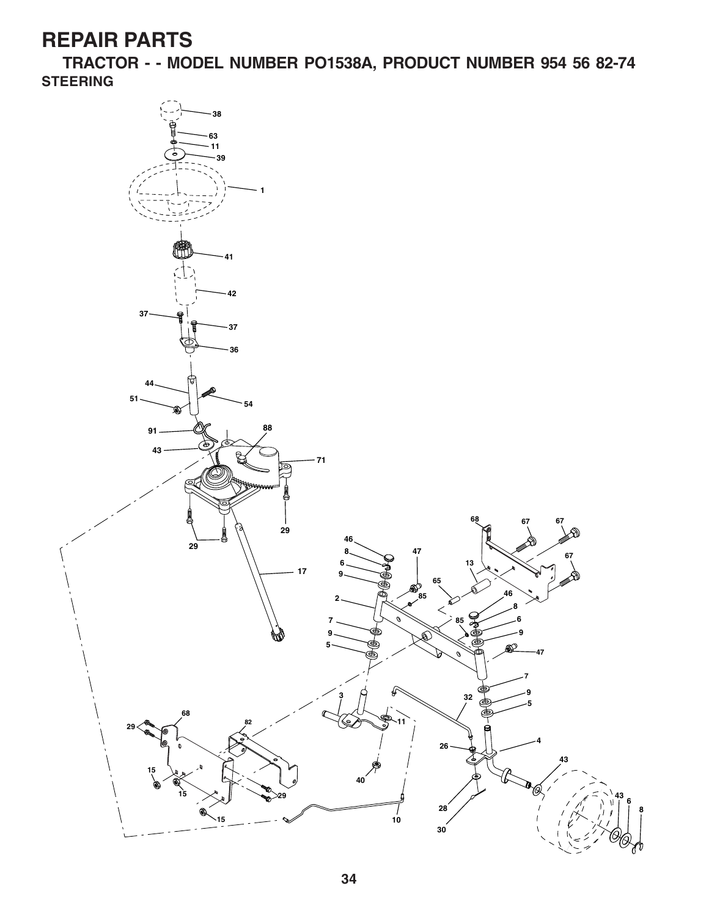**TRACTOR - - MODEL NUMBER PO1538A, PRODUCT NUMBER 954 56 82-74 STEERING**

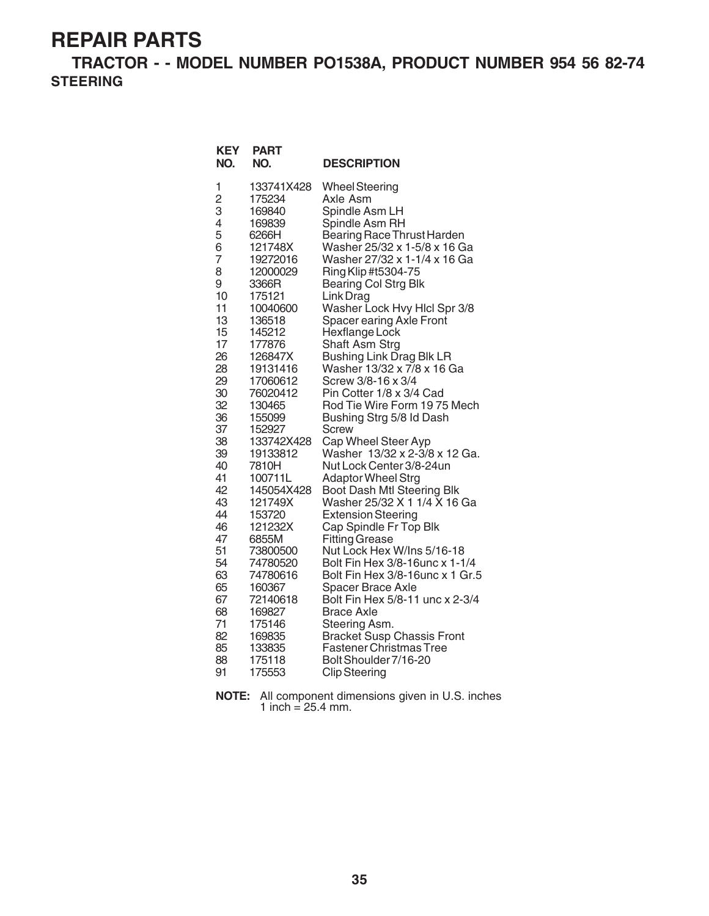**TRACTOR - - MODEL NUMBER PO1538A, PRODUCT NUMBER 954 56 82-74 STEERING**

| <b>KEY</b><br>NO. | PART<br>NO.          | <b>DESCRIPTION</b>                                           |
|-------------------|----------------------|--------------------------------------------------------------|
| 1                 | 133741X428           | <b>Wheel Steering</b>                                        |
| $\overline{c}$    | 175234               | Axle Asm                                                     |
| 3                 | 169840               | Spindle Asm LH                                               |
| 4                 | 169839               | Spindle Asm RH                                               |
| 5                 | 6266H                | Bearing Race Thrust Harden                                   |
| 6<br>7            | 121748X              | Washer 25/32 x 1-5/8 x 16 Ga<br>Washer 27/32 x 1-1/4 x 16 Ga |
| 8                 | 19272016<br>12000029 | Ring Klip #t5304-75                                          |
| 9                 | 3366R                | <b>Bearing Col Strg Blk</b>                                  |
| 10                | 175121               | Link Drag                                                    |
| 11                | 10040600             | Washer Lock Hvy Hicl Spr 3/8                                 |
| 13                | 136518               | Spacer earing Axle Front                                     |
| 15                | 145212               | Hexflange Lock                                               |
| 17                | 177876               | <b>Shaft Asm Strg</b>                                        |
| 26                | 126847X              | <b>Bushing Link Drag Blk LR</b>                              |
| 28                | 19131416             | Washer 13/32 x 7/8 x 16 Ga                                   |
| 29                | 17060612             | Screw 3/8-16 x 3/4                                           |
| 30                | 76020412             | Pin Cotter 1/8 x 3/4 Cad                                     |
| 32<br>36          | 130465<br>155099     | Rod Tie Wire Form 1975 Mech<br>Bushing Strg 5/8 Id Dash      |
| 37                | 152927               | <b>Screw</b>                                                 |
| 38                | 133742X428           | Cap Wheel Steer Ayp                                          |
| 39                | 19133812             | Washer 13/32 x 2-3/8 x 12 Ga.                                |
| 40                | 7810H                | Nut Lock Center 3/8-24un                                     |
| 41                | 100711L              | <b>Adaptor Wheel Strg</b>                                    |
| 42                | 145054X428           | Boot Dash Mtl Steering Blk                                   |
| 43                | 121749X              | Washer 25/32 X 1 1/4 X 16 Ga                                 |
| 44                | 153720               | <b>Extension Steering</b>                                    |
| 46                | 121232X              | Cap Spindle Fr Top Blk                                       |
| 47                | 6855M                | <b>Fitting Grease</b>                                        |
| 51<br>54          | 73800500<br>74780520 | Nut Lock Hex W/Ins 5/16-18<br>Bolt Fin Hex 3/8-16unc x 1-1/4 |
| 63                | 74780616             | Bolt Fin Hex 3/8-16unc x 1 Gr.5                              |
| 65                | 160367               | <b>Spacer Brace Axle</b>                                     |
| 67                | 72140618             | Bolt Fin Hex 5/8-11 unc x 2-3/4                              |
| 68                | 169827               | <b>Brace Axle</b>                                            |
| 71                | 175146               | Steering Asm.                                                |
| 82                | 169835               | <b>Bracket Susp Chassis Front</b>                            |
| 85                | 133835               | <b>Fastener Christmas Tree</b>                               |
| 88                | 175118               | Bolt Shoulder 7/16-20                                        |
| 91                | 175553               | <b>Clip Steering</b>                                         |

**NOTE:** All component dimensions given in U.S. inches 1 inch =  $25.4$  mm.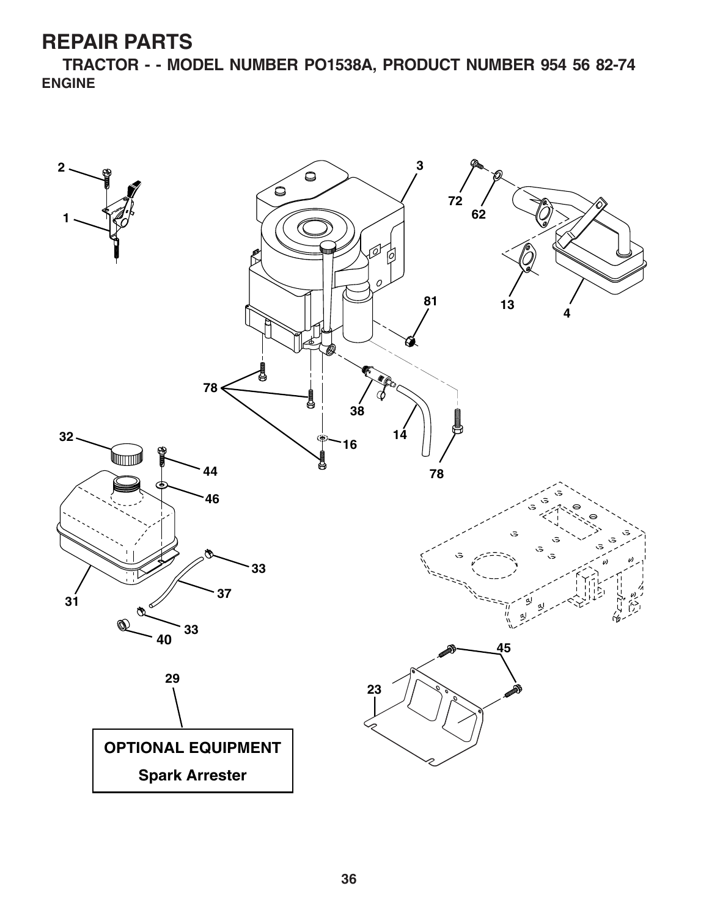**TRACTOR - - MODEL NUMBER PO1538A, PRODUCT NUMBER 954 56 82-74 ENGINE**

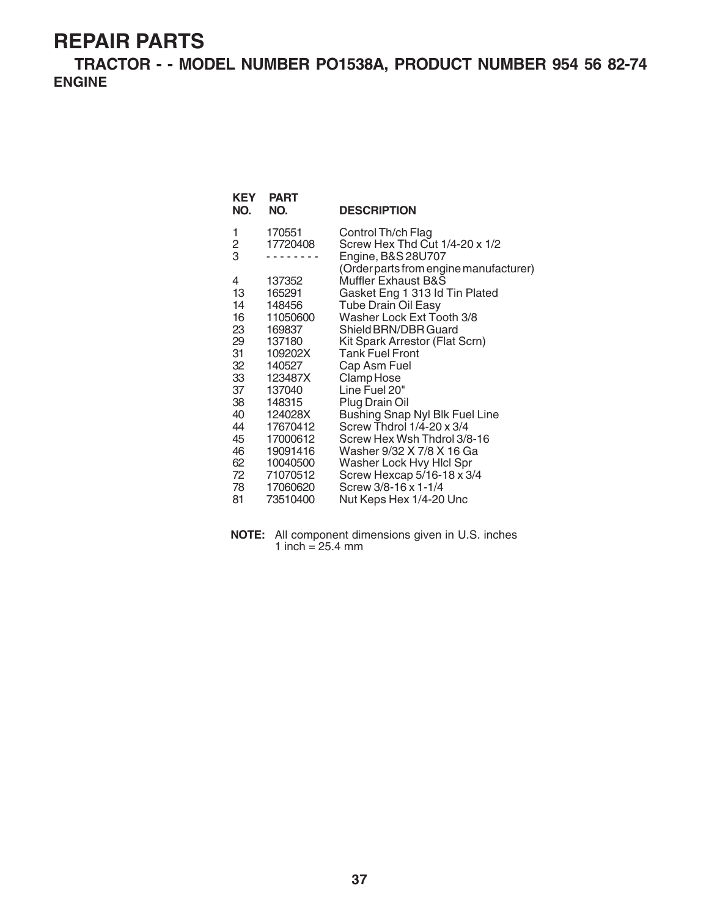**TRACTOR - - MODEL NUMBER PO1538A, PRODUCT NUMBER 954 56 82-74 ENGINE**

| <b>KEY</b><br>NO. | <b>PART</b><br>NO. | <b>DESCRIPTION</b>                     |
|-------------------|--------------------|----------------------------------------|
| 1                 | 170551             | Control Th/ch Flag                     |
| 2                 | 17720408           | Screw Hex Thd Cut 1/4-20 x 1/2         |
| 3                 |                    | Engine, B&S 28U707                     |
|                   |                    | (Order parts from engine manufacturer) |
| 4                 | 137352             | <b>Muffler Exhaust B&amp;S</b>         |
| 13                | 165291             | Gasket Eng 1 313 Id Tin Plated         |
| 14                | 148456             | <b>Tube Drain Oil Easy</b>             |
| 16                | 11050600           | Washer Lock Ext Tooth 3/8              |
| 23                | 169837             | Shield BRN/DBR Guard                   |
| 29                | 137180             | Kit Spark Arrestor (Flat Scrn)         |
| 31                | 109202X            | <b>Tank Fuel Front</b>                 |
| 32                | 140527             | Cap Asm Fuel                           |
| 33                | 123487X            | Clamp Hose                             |
| 37                | 137040             | Line Fuel 20"                          |
| 38                | 148315             | Plug Drain Oil                         |
| 40                | 124028X            | Bushing Snap Nyl Blk Fuel Line         |
| 44                | 17670412           | Screw Thdrol 1/4-20 x 3/4              |
| 45                | 17000612           | Screw Hex Wsh Thdrol 3/8-16            |
| 46                | 19091416           | Washer 9/32 X 7/8 X 16 Ga              |
| 62                | 10040500           | Washer Lock Hvy Hicl Spr               |
| 72                | 71070512           | Screw Hexcap 5/16-18 x 3/4             |
| 78                | 17060620           | Screw 3/8-16 x 1-1/4                   |
| 81                | 73510400           | Nut Keps Hex 1/4-20 Unc                |

**NOTE:** All component dimensions given in U.S. inches 1 inch =  $25.4 \, \text{mm}$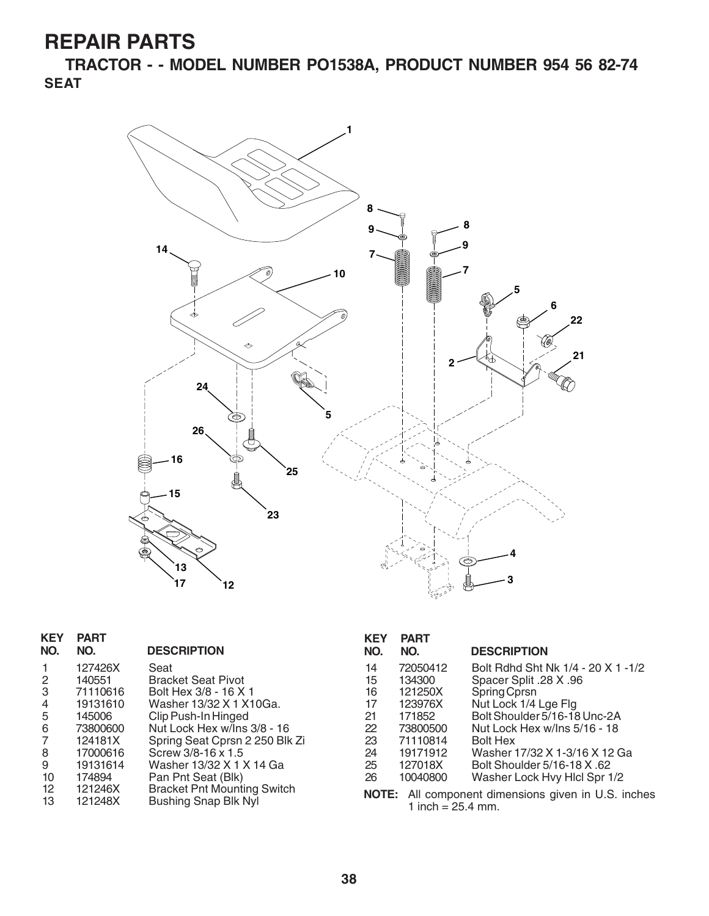**TRACTOR - - MODEL NUMBER PO1538A, PRODUCT NUMBER 954 56 82-74 SEAT**



| <b>KEY</b><br>NO. | <b>PART</b><br>NO. | <b>DESCRIPTION</b>                 |
|-------------------|--------------------|------------------------------------|
| 1                 | 127426X            | Seat                               |
| 2                 | 140551             | <b>Bracket Seat Pivot</b>          |
| 3                 | 71110616           | Bolt Hex 3/8 - 16 X 1              |
| 4                 | 19131610           | Washer 13/32 X 1 X10Ga.            |
| 5                 | 145006             | Clip Push-In Hinged                |
| 6                 | 73800600           | Nut Lock Hex w/Ins 3/8 - 16        |
| 7                 | 124181X            | Spring Seat Cprsn 2 250 Blk Zi     |
| 8                 | 17000616           | Screw 3/8-16 x 1.5                 |
| 9                 | 19131614           | Washer 13/32 X 1 X 14 Ga           |
| 10                | 174894             | Pan Pnt Seat (Blk)                 |
| 12                | 121246X            | <b>Bracket Pnt Mounting Switch</b> |
| 13                | 121248X            | <b>Bushing Snap Blk Nyl</b>        |
|                   |                    |                                    |

| <b>KEY</b> | <b>PART</b> |                                    |
|------------|-------------|------------------------------------|
| NO.        | NO.         | <b>DESCRIPTION</b>                 |
| 14         | 72050412    | Bolt Rdhd Sht Nk 1/4 - 20 X 1 -1/2 |
| 15         | 134300      | Spacer Split .28 X .96             |
| 16         | 121250X     | Spring Cprsn                       |
| 17         | 123976X     | Nut Lock 1/4 Lge Flg               |
| 21         | 171852      | Bolt Shoulder 5/16-18 Unc-2A       |
| 22         | 73800500    | Nut Lock Hex w/Ins 5/16 - 18       |
| 23         | 71110814    | <b>Bolt Hex</b>                    |
| 24         | 19171912    | Washer 17/32 X 1-3/16 X 12 Ga      |
| 25         | 127018X     | Bolt Shoulder 5/16-18 X .62        |
| 26         | 10040800    | Washer Lock Hvy Hicl Spr 1/2       |

**NOTE:** All component dimensions given in U.S. inches 1 inch =  $25.4$  mm.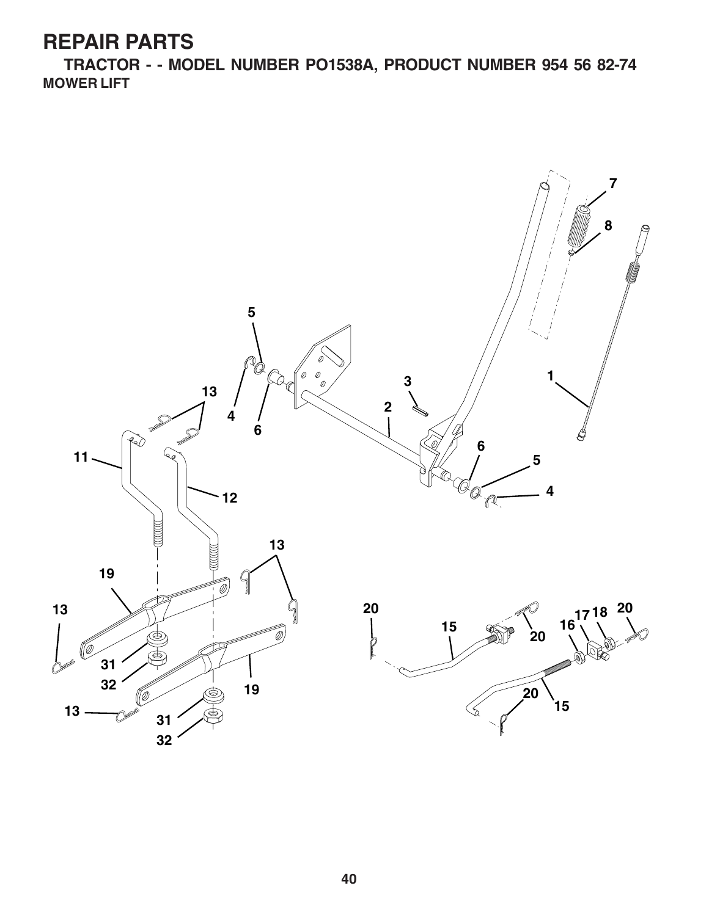**TRACTOR - - MODEL NUMBER PO1538A, PRODUCT NUMBER 954 56 82-74 MOWER LIFT**

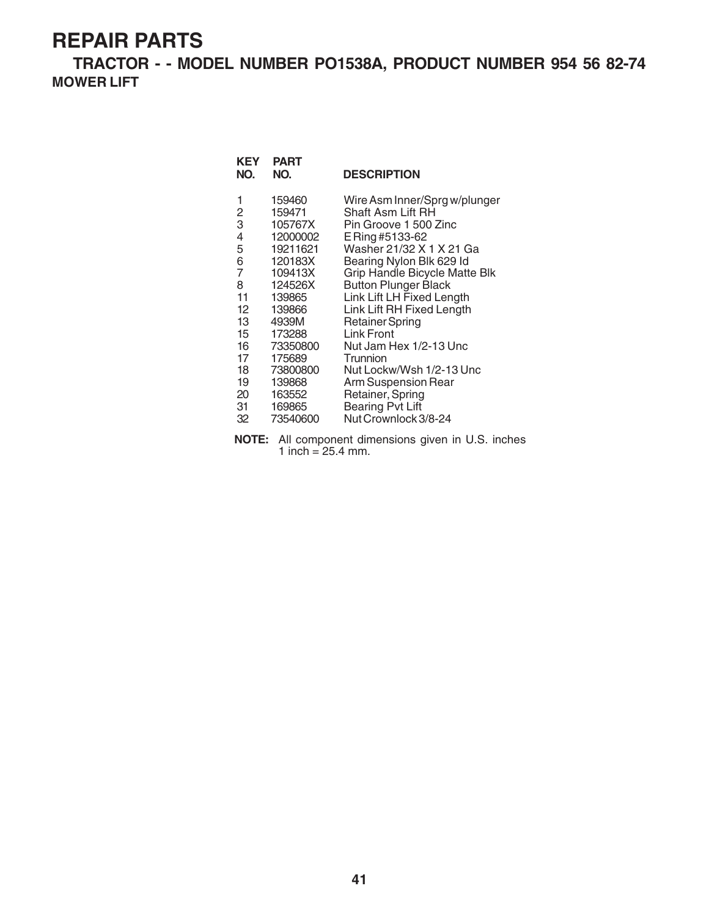**TRACTOR - - MODEL NUMBER PO1538A, PRODUCT NUMBER 954 56 82-74 MOWER LIFT**

| KEY<br>NO.                                                                                                                       | <b>PART</b><br>NO.                                                                                                                                                                                      | <b>DESCRIPTION</b>                                                                                                                                                                                                                                                                                                                                                                                                                                                                       |
|----------------------------------------------------------------------------------------------------------------------------------|---------------------------------------------------------------------------------------------------------------------------------------------------------------------------------------------------------|------------------------------------------------------------------------------------------------------------------------------------------------------------------------------------------------------------------------------------------------------------------------------------------------------------------------------------------------------------------------------------------------------------------------------------------------------------------------------------------|
| 1<br>2<br>3<br>4<br>5<br>6<br>$\overline{7}$<br>8<br>11<br>12 <sup>°</sup><br>13<br>15<br>16<br>17<br>18<br>19<br>20<br>31<br>32 | 159460<br>159471<br>105767X<br>12000002<br>19211621<br>120183X<br>109413X<br>124526X<br>139865<br>139866<br>4939M<br>173288<br>73350800<br>175689<br>73800800<br>139868<br>163552<br>169865<br>73540600 | Wire Asm Inner/Sprg w/plunger<br>Shaft Asm Lift RH<br>Pin Groove 1 500 Zinc<br>E Ring #5133-62<br>Washer 21/32 X 1 X 21 Ga<br>Bearing Nylon Blk 629 Id<br>Grip Handle Bicycle Matte Blk<br><b>Button Plunger Black</b><br>Link Lift LH Fixed Length<br>Link Lift RH Fixed Length<br><b>Retainer Spring</b><br>Link Front<br>Nut Jam Hex 1/2-13 Unc<br>Trunnion<br>Nut Lockw/Wsh 1/2-13 Unc<br>Arm Suspension Rear<br>Retainer, Spring<br><b>Bearing Pvt Lift</b><br>Nut Crownlock 3/8-24 |
|                                                                                                                                  |                                                                                                                                                                                                         |                                                                                                                                                                                                                                                                                                                                                                                                                                                                                          |

**NOTE:** All component dimensions given in U.S. inches 1 inch =  $25.4$  mm.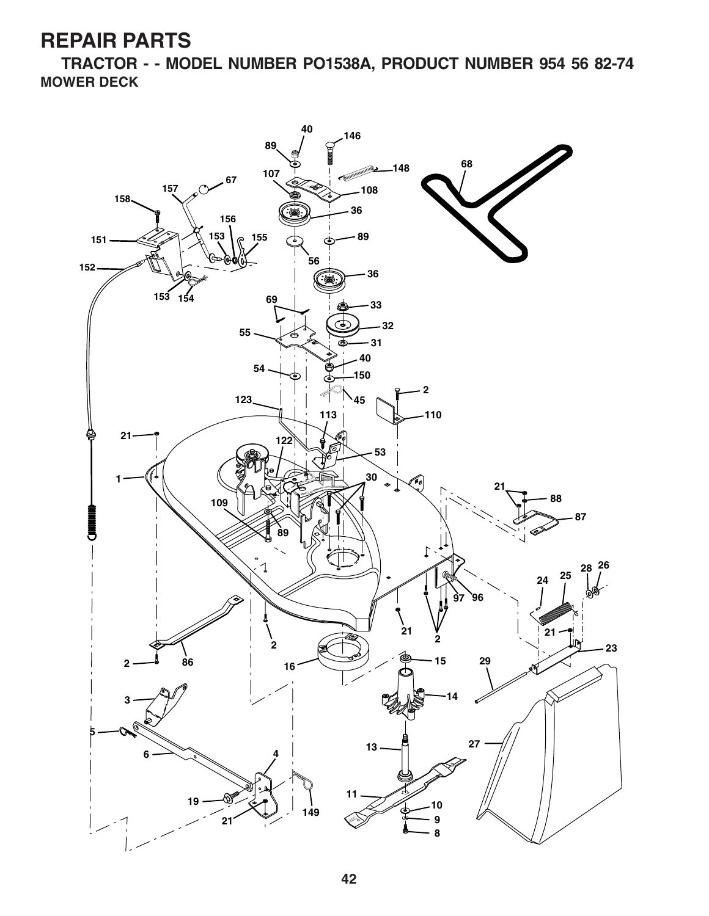**TRACTOR - - MODEL NUMBER PO1538A, PRODUCT NUMBER 954 56 82-74 MOWER DECK**

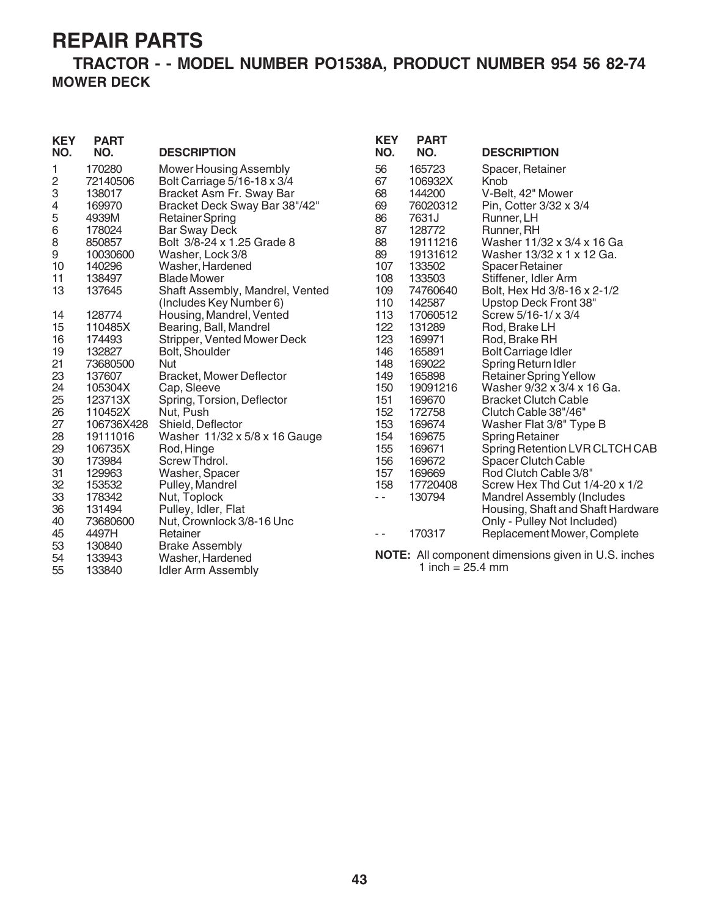#### **TRACTOR - - MODEL NUMBER PO1538A, PRODUCT NUMBER 954 56 82-74 MOWER DECK**

| <b>KEY</b><br>NO. | <b>PART</b><br>NO. | <b>DESCRIPTION</b>              | <b>KEY</b><br>NO. | <b>PART</b><br>NO. | <b>DESCRIPTION</b>                                         |
|-------------------|--------------------|---------------------------------|-------------------|--------------------|------------------------------------------------------------|
| 1                 | 170280             | <b>Mower Housing Assembly</b>   | 56                | 165723             | Spacer, Retainer                                           |
| 2                 | 72140506           | Bolt Carriage 5/16-18 x 3/4     | 67                | 106932X            | Knob                                                       |
| 3                 | 138017             | Bracket Asm Fr. Sway Bar        | 68                | 144200             | V-Belt, 42" Mower                                          |
| 4                 | 169970             | Bracket Deck Sway Bar 38"/42"   | 69                | 76020312           | Pin, Cotter 3/32 x 3/4                                     |
| 5                 | 4939M              | <b>Retainer Spring</b>          | 86                | 7631J              | Runner, LH                                                 |
| 6                 | 178024             | <b>Bar Sway Deck</b>            | 87                | 128772             | Runner, RH                                                 |
| 8                 | 850857             | Bolt 3/8-24 x 1.25 Grade 8      | 88                | 19111216           | Washer 11/32 x 3/4 x 16 Ga                                 |
| 9                 | 10030600           | Washer, Lock 3/8                | 89                | 19131612           | Washer 13/32 x 1 x 12 Ga.                                  |
| 10                | 140296             | Washer, Hardened                | 107               | 133502             | <b>Spacer Retainer</b>                                     |
| 11                | 138497             | <b>Blade Mower</b>              | 108               | 133503             | Stiffener, Idler Arm                                       |
| 13                | 137645             | Shaft Assembly, Mandrel, Vented | 109               | 74760640           | Bolt, Hex Hd 3/8-16 x 2-1/2                                |
|                   |                    | (Includes Key Number 6)         | 110               | 142587             | Upstop Deck Front 38"                                      |
| 14                | 128774             | Housing, Mandrel, Vented        | 113               | 17060512           | Screw 5/16-1/ x 3/4                                        |
| 15                | 110485X            | Bearing, Ball, Mandrel          | 122               | 131289             | Rod, Brake LH                                              |
| 16                | 174493             | Stripper, Vented Mower Deck     | 123               | 169971             | Rod, Brake RH                                              |
| 19                | 132827             | Bolt, Shoulder                  | 146               | 165891             | <b>Bolt Carriage Idler</b>                                 |
| 21                | 73680500           | Nut                             | 148               | 169022             | Spring Return Idler                                        |
| 23                | 137607             | <b>Bracket, Mower Deflector</b> | 149               | 165898             | <b>Retainer Spring Yellow</b>                              |
| 24                | 105304X            | Cap, Sleeve                     | 150               | 19091216           | Washer 9/32 x 3/4 x 16 Ga.                                 |
| 25                | 123713X            | Spring, Torsion, Deflector      | 151               | 169670             | <b>Bracket Clutch Cable</b>                                |
| 26                | 110452X            | Nut, Push                       | 152               | 172758             | Clutch Cable 38"/46"                                       |
| 27                | 106736X428         | Shield, Deflector               | 153               | 169674             | Washer Flat 3/8" Type B                                    |
| 28                | 19111016           | Washer 11/32 x 5/8 x 16 Gauge   | 154               | 169675             | <b>Spring Retainer</b>                                     |
| 29                | 106735X            | Rod, Hinge                      | 155               | 169671             | Spring Retention LVR CLTCH CAB                             |
| 30                | 173984             | Screw Thdrol.                   | 156               | 169672             | <b>Spacer Clutch Cable</b>                                 |
| 31                | 129963             | Washer, Spacer                  | 157               | 169669             | Rod Clutch Cable 3/8"                                      |
| 32                | 153532             | Pulley, Mandrel                 | 158               | 17720408           | Screw Hex Thd Cut 1/4-20 x 1/2                             |
| 33                | 178342             | Nut, Toplock                    | $\sim$ $-$        | 130794             | <b>Mandrel Assembly (Includes</b>                          |
| 36                | 131494             | Pulley, Idler, Flat             |                   |                    | Housing, Shaft and Shaft Hardware                          |
| 40                | 73680600           | Nut, Crownlock 3/8-16 Unc       |                   |                    | Only - Pulley Not Included)                                |
| 45                | 4497H              | Retainer                        | $\sim$ $\sim$     | 170317             | Replacement Mower, Complete                                |
| 53                | 130840             | <b>Brake Assembly</b>           |                   |                    |                                                            |
| 54                | 133943             | Washer, Hardened                |                   |                    | <b>NOTE:</b> All component dimensions given in U.S. inches |
| 55                | 133840             | Idler Arm Assembly              |                   | 1 inch = $25.4$ mm |                                                            |